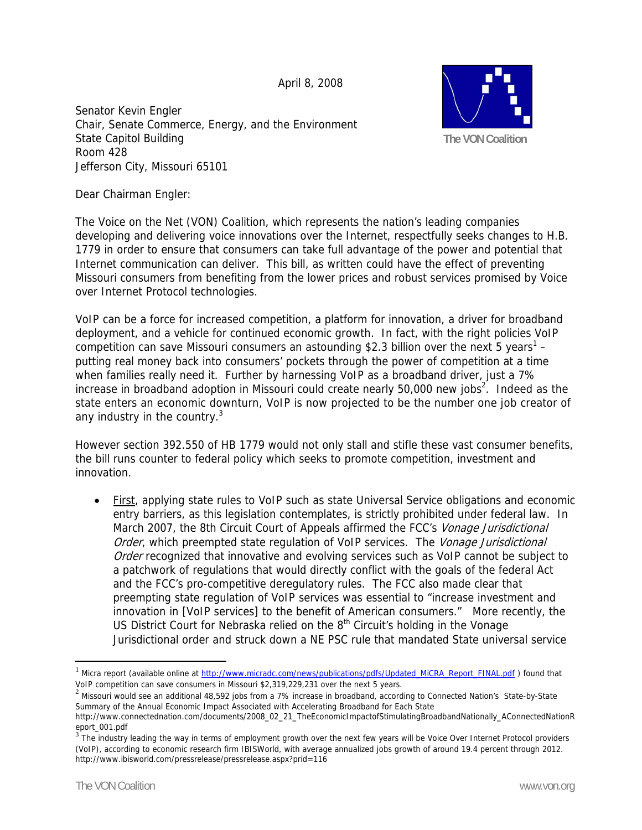April 8, 2008

Senator Kevin Engler Chair, Senate Commerce, Energy, and the Environment State Capitol Building Room 428 Jefferson City, Missouri 65101



Dear Chairman Engler:

The Voice on the Net (VON) Coalition, which represents the nation's leading companies developing and delivering voice innovations over the Internet, respectfully seeks changes to H.B. 1779 in order to ensure that consumers can take full advantage of the power and potential that Internet communication can deliver. This bill, as written could have the effect of preventing Missouri consumers from benefiting from the lower prices and robust services promised by Voice over Internet Protocol technologies.

VoIP can be a force for increased competition, a platform for innovation, a driver for broadband deployment, and a vehicle for continued economic growth. In fact, with the right policies VoIP competition can save Missouri consumers an astounding \$2.3 billion over the next 5 years<sup>1</sup> – putting real money back into consumers' pockets through the power of competition at a time when families really need it. Further by harnessing VoIP as a broadband driver, just a 7% increase in broadband adoption in Missouri could create nearly 50,000 new jobs<sup>2</sup>. Indeed as the state enters an economic downturn, VoIP is now projected to be the number one job creator of any industry in the country. $3$ 

However section 392.550 of HB 1779 would not only stall and stifle these vast consumer benefits, the bill runs counter to federal policy which seeks to promote competition, investment and innovation.

• First, applying state rules to VoIP such as state Universal Service obligations and economic entry barriers, as this legislation contemplates, is strictly prohibited under federal law. In March 2007, the 8th Circuit Court of Appeals affirmed the FCC's *Vonage Jurisdictional* Order, which preempted state regulation of VoIP services. The Vonage Jurisdictional Order recognized that innovative and evolving services such as VoIP cannot be subject to a patchwork of regulations that would directly conflict with the goals of the federal Act and the FCC's pro-competitive deregulatory rules. The FCC also made clear that preempting state regulation of VoIP services was essential to "increase investment and innovation in [VoIP services] to the benefit of American consumers." More recently, the US District Court for Nebraska relied on the 8th Circuit's holding in the Vonage Jurisdictional order and struck down a NE PSC rule that mandated State universal service

 $\overline{a}$ 

<sup>&</sup>lt;sup>1</sup> Micra report (available online at http://www.micradc.com/news/publications/pdfs/Updated\_MiCRA\_Report\_FINAL.pdf ) found that VoIP competition can save consumers in Missouri \$2,319,229,231 over the next 5 years. <sup>2</sup> Missouri would see an additional 48,592 jobs from a 7% increase in broadband, according to Connected Nation's State-by-State

Summary of the Annual Economic Impact Associated with Accelerating Broadband for Each State

http://www.connectednation.com/documents/2008\_02\_21\_TheEconomicImpactofStimulatingBroadbandNationally\_AConnectedNationR eport\_001.pdf

 $3$  The industry leading the way in terms of employment growth over the next few years will be Voice Over Internet Protocol providers (VoIP), according to economic research firm IBISWorld, with average annualized jobs growth of around 19.4 percent through 2012. http://www.ibisworld.com/pressrelease/pressrelease.aspx?prid=116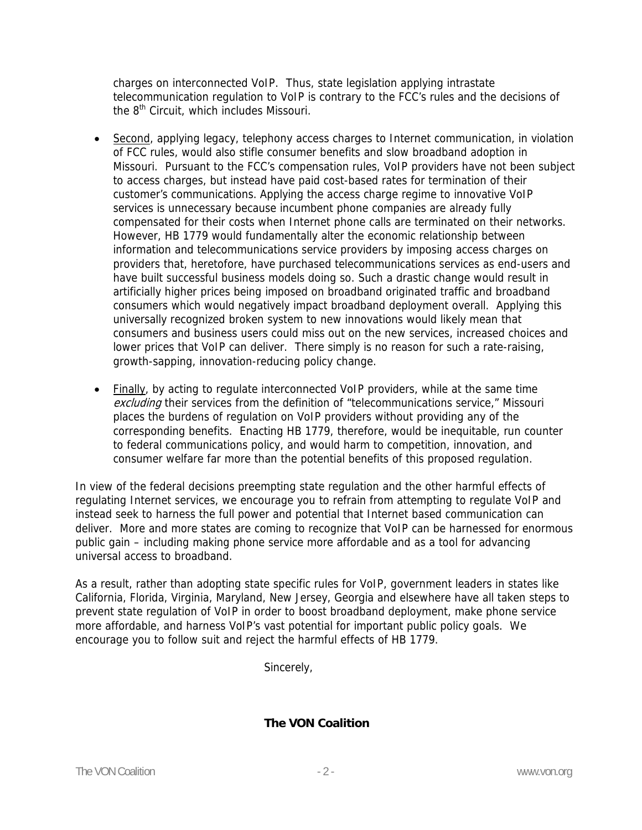charges on interconnected VoIP. Thus, state legislation applying intrastate telecommunication regulation to VoIP is contrary to the FCC's rules and the decisions of the 8<sup>th</sup> Circuit, which includes Missouri.

- Second, applying legacy, telephony access charges to Internet communication, in violation of FCC rules, would also stifle consumer benefits and slow broadband adoption in Missouri. Pursuant to the FCC's compensation rules, VoIP providers have not been subject to access charges, but instead have paid cost-based rates for termination of their customer's communications. Applying the access charge regime to innovative VoIP services is unnecessary because incumbent phone companies are already fully compensated for their costs when Internet phone calls are terminated on their networks. However, HB 1779 would fundamentally alter the economic relationship between information and telecommunications service providers by imposing access charges on providers that, heretofore, have purchased telecommunications services as end-users and have built successful business models doing so. Such a drastic change would result in artificially higher prices being imposed on broadband originated traffic and broadband consumers which would negatively impact broadband deployment overall. Applying this universally recognized broken system to new innovations would likely mean that consumers and business users could miss out on the new services, increased choices and lower prices that VoIP can deliver. There simply is no reason for such a rate-raising, growth-sapping, innovation-reducing policy change.
- Finally, by acting to regulate interconnected VoIP providers, while at the same time excluding their services from the definition of "telecommunications service," Missouri places the burdens of regulation on VoIP providers without providing any of the corresponding benefits. Enacting HB 1779, therefore, would be inequitable, run counter to federal communications policy, and would harm to competition, innovation, and consumer welfare far more than the potential benefits of this proposed regulation.

In view of the federal decisions preempting state regulation and the other harmful effects of regulating Internet services, we encourage you to refrain from attempting to regulate VoIP and instead seek to harness the full power and potential that Internet based communication can deliver. More and more states are coming to recognize that VoIP can be harnessed for enormous public gain – including making phone service more affordable and as a tool for advancing universal access to broadband.

As a result, rather than adopting state specific rules for VoIP, government leaders in states like California, Florida, Virginia, Maryland, New Jersey, Georgia and elsewhere have all taken steps to prevent state regulation of VoIP in order to boost broadband deployment, make phone service more affordable, and harness VoIP's vast potential for important public policy goals. We encourage you to follow suit and reject the harmful effects of HB 1779.

Sincerely,

**The VON Coalition**